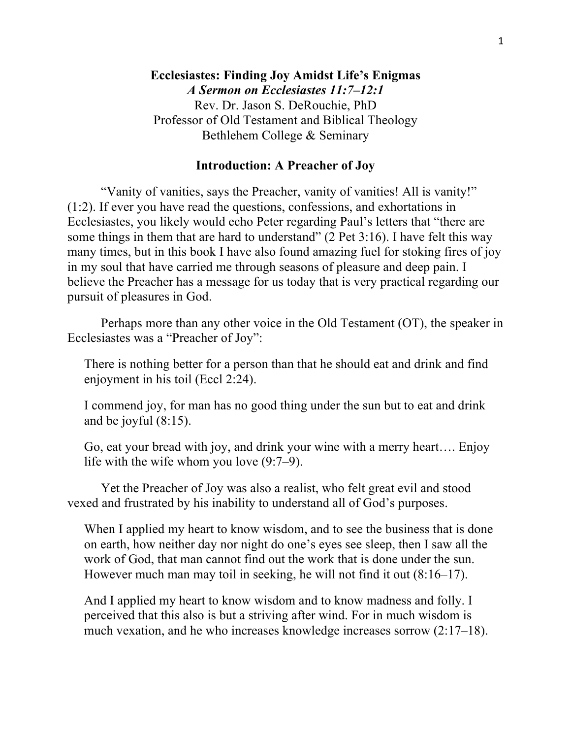## **Introduction: A Preacher of Joy**

"Vanity of vanities, says the Preacher, vanity of vanities! All is vanity!" (1:2). If ever you have read the questions, confessions, and exhortations in Ecclesiastes, you likely would echo Peter regarding Paul's letters that "there are some things in them that are hard to understand" (2 Pet 3:16). I have felt this way many times, but in this book I have also found amazing fuel for stoking fires of joy in my soul that have carried me through seasons of pleasure and deep pain. I believe the Preacher has a message for us today that is very practical regarding our pursuit of pleasures in God.

Perhaps more than any other voice in the Old Testament (OT), the speaker in Ecclesiastes was a "Preacher of Joy":

There is nothing better for a person than that he should eat and drink and find enjoyment in his toil (Eccl 2:24).

I commend joy, for man has no good thing under the sun but to eat and drink and be joyful (8:15).

Go, eat your bread with joy, and drink your wine with a merry heart…. Enjoy life with the wife whom you love (9:7–9).

Yet the Preacher of Joy was also a realist, who felt great evil and stood vexed and frustrated by his inability to understand all of God's purposes.

When I applied my heart to know wisdom, and to see the business that is done on earth, how neither day nor night do one's eyes see sleep, then I saw all the work of God, that man cannot find out the work that is done under the sun. However much man may toil in seeking, he will not find it out (8:16–17).

And I applied my heart to know wisdom and to know madness and folly. I perceived that this also is but a striving after wind. For in much wisdom is much vexation, and he who increases knowledge increases sorrow (2:17–18).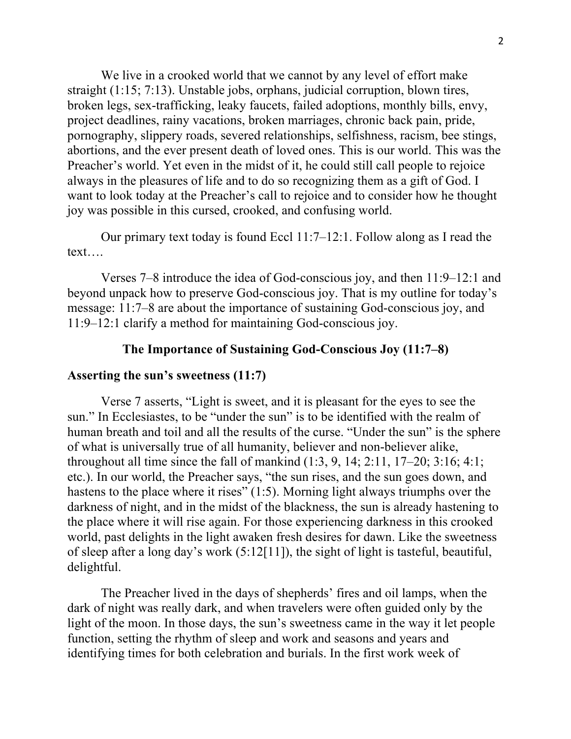We live in a crooked world that we cannot by any level of effort make straight (1:15; 7:13). Unstable jobs, orphans, judicial corruption, blown tires, broken legs, sex-trafficking, leaky faucets, failed adoptions, monthly bills, envy, project deadlines, rainy vacations, broken marriages, chronic back pain, pride, pornography, slippery roads, severed relationships, selfishness, racism, bee stings, abortions, and the ever present death of loved ones. This is our world. This was the Preacher's world. Yet even in the midst of it, he could still call people to rejoice always in the pleasures of life and to do so recognizing them as a gift of God. I want to look today at the Preacher's call to rejoice and to consider how he thought joy was possible in this cursed, crooked, and confusing world.

Our primary text today is found Eccl 11:7–12:1. Follow along as I read the text….

Verses 7–8 introduce the idea of God-conscious joy, and then 11:9–12:1 and beyond unpack how to preserve God-conscious joy. That is my outline for today's message: 11:7–8 are about the importance of sustaining God-conscious joy, and 11:9–12:1 clarify a method for maintaining God-conscious joy.

## **The Importance of Sustaining God-Conscious Joy (11:7–8)**

#### **Asserting the sun's sweetness (11:7)**

Verse 7 asserts, "Light is sweet, and it is pleasant for the eyes to see the sun." In Ecclesiastes, to be "under the sun" is to be identified with the realm of human breath and toil and all the results of the curse. "Under the sun" is the sphere of what is universally true of all humanity, believer and non-believer alike, throughout all time since the fall of mankind  $(1:3, 9, 14; 2:11, 17-20; 3:16; 4:1;$ etc.). In our world, the Preacher says, "the sun rises, and the sun goes down, and hastens to the place where it rises" (1:5). Morning light always triumphs over the darkness of night, and in the midst of the blackness, the sun is already hastening to the place where it will rise again. For those experiencing darkness in this crooked world, past delights in the light awaken fresh desires for dawn. Like the sweetness of sleep after a long day's work (5:12[11]), the sight of light is tasteful, beautiful, delightful.

The Preacher lived in the days of shepherds' fires and oil lamps, when the dark of night was really dark, and when travelers were often guided only by the light of the moon. In those days, the sun's sweetness came in the way it let people function, setting the rhythm of sleep and work and seasons and years and identifying times for both celebration and burials. In the first work week of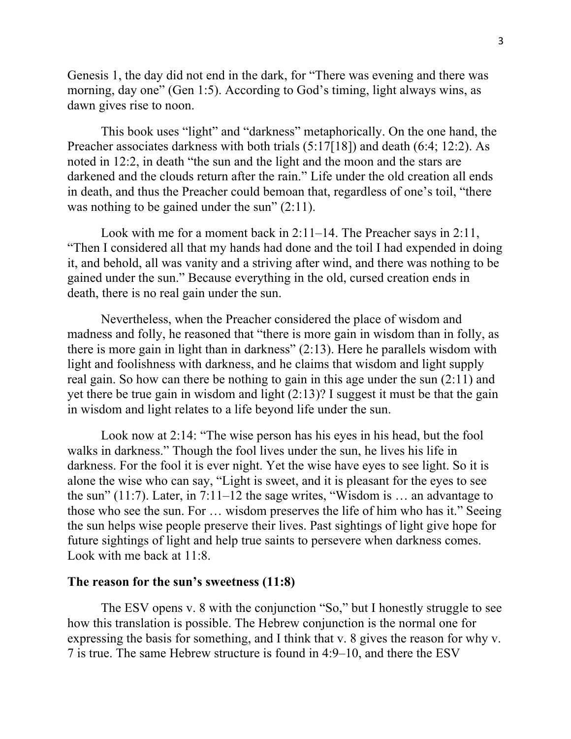Genesis 1, the day did not end in the dark, for "There was evening and there was morning, day one" (Gen 1:5). According to God's timing, light always wins, as dawn gives rise to noon.

This book uses "light" and "darkness" metaphorically. On the one hand, the Preacher associates darkness with both trials (5:17[18]) and death (6:4; 12:2). As noted in 12:2, in death "the sun and the light and the moon and the stars are darkened and the clouds return after the rain." Life under the old creation all ends in death, and thus the Preacher could bemoan that, regardless of one's toil, "there was nothing to be gained under the sun"  $(2:11)$ .

Look with me for a moment back in 2:11–14. The Preacher says in 2:11, "Then I considered all that my hands had done and the toil I had expended in doing it, and behold, all was vanity and a striving after wind, and there was nothing to be gained under the sun." Because everything in the old, cursed creation ends in death, there is no real gain under the sun.

Nevertheless, when the Preacher considered the place of wisdom and madness and folly, he reasoned that "there is more gain in wisdom than in folly, as there is more gain in light than in darkness" (2:13). Here he parallels wisdom with light and foolishness with darkness, and he claims that wisdom and light supply real gain. So how can there be nothing to gain in this age under the sun (2:11) and yet there be true gain in wisdom and light (2:13)? I suggest it must be that the gain in wisdom and light relates to a life beyond life under the sun.

Look now at 2:14: "The wise person has his eyes in his head, but the fool walks in darkness." Though the fool lives under the sun, he lives his life in darkness. For the fool it is ever night. Yet the wise have eyes to see light. So it is alone the wise who can say, "Light is sweet, and it is pleasant for the eyes to see the sun" (11:7). Later, in  $7:11-12$  the sage writes, "Wisdom is ... an advantage to those who see the sun. For … wisdom preserves the life of him who has it." Seeing the sun helps wise people preserve their lives. Past sightings of light give hope for future sightings of light and help true saints to persevere when darkness comes. Look with me back at 11:8.

### **The reason for the sun's sweetness (11:8)**

The ESV opens v. 8 with the conjunction "So," but I honestly struggle to see how this translation is possible. The Hebrew conjunction is the normal one for expressing the basis for something, and I think that v. 8 gives the reason for why v. 7 is true. The same Hebrew structure is found in 4:9–10, and there the ESV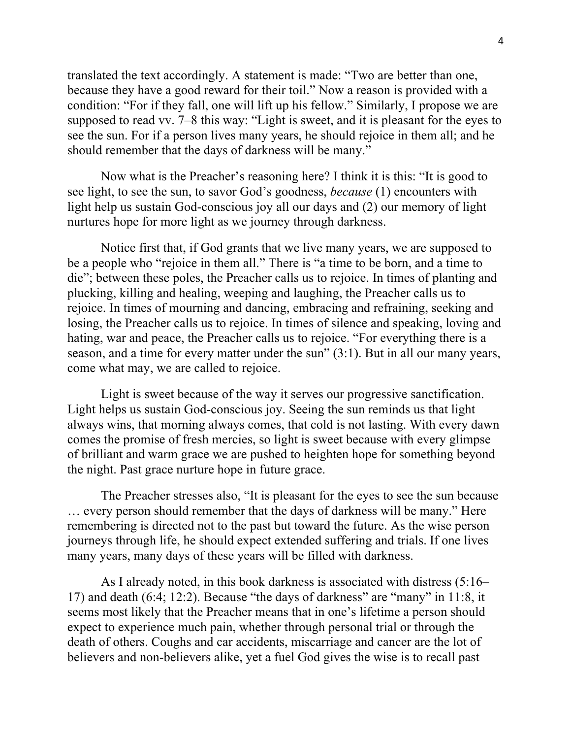translated the text accordingly. A statement is made: "Two are better than one, because they have a good reward for their toil." Now a reason is provided with a condition: "For if they fall, one will lift up his fellow." Similarly, I propose we are supposed to read vv. 7–8 this way: "Light is sweet, and it is pleasant for the eyes to see the sun. For if a person lives many years, he should rejoice in them all; and he should remember that the days of darkness will be many."

Now what is the Preacher's reasoning here? I think it is this: "It is good to see light, to see the sun, to savor God's goodness, *because* (1) encounters with light help us sustain God-conscious joy all our days and (2) our memory of light nurtures hope for more light as we journey through darkness.

Notice first that, if God grants that we live many years, we are supposed to be a people who "rejoice in them all." There is "a time to be born, and a time to die"; between these poles, the Preacher calls us to rejoice. In times of planting and plucking, killing and healing, weeping and laughing, the Preacher calls us to rejoice. In times of mourning and dancing, embracing and refraining, seeking and losing, the Preacher calls us to rejoice. In times of silence and speaking, loving and hating, war and peace, the Preacher calls us to rejoice. "For everything there is a season, and a time for every matter under the sun" (3:1). But in all our many years, come what may, we are called to rejoice.

Light is sweet because of the way it serves our progressive sanctification. Light helps us sustain God-conscious joy. Seeing the sun reminds us that light always wins, that morning always comes, that cold is not lasting. With every dawn comes the promise of fresh mercies, so light is sweet because with every glimpse of brilliant and warm grace we are pushed to heighten hope for something beyond the night. Past grace nurture hope in future grace.

The Preacher stresses also, "It is pleasant for the eyes to see the sun because … every person should remember that the days of darkness will be many." Here remembering is directed not to the past but toward the future. As the wise person journeys through life, he should expect extended suffering and trials. If one lives many years, many days of these years will be filled with darkness.

As I already noted, in this book darkness is associated with distress (5:16– 17) and death (6:4; 12:2). Because "the days of darkness" are "many" in 11:8, it seems most likely that the Preacher means that in one's lifetime a person should expect to experience much pain, whether through personal trial or through the death of others. Coughs and car accidents, miscarriage and cancer are the lot of believers and non-believers alike, yet a fuel God gives the wise is to recall past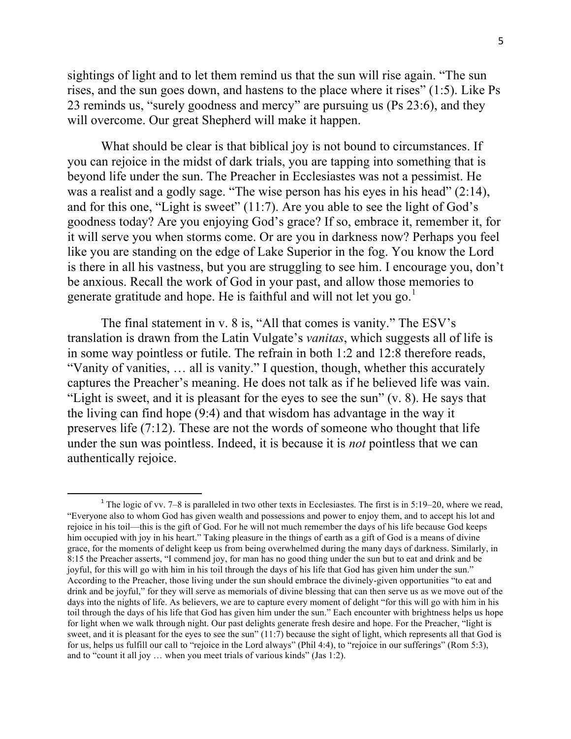sightings of light and to let them remind us that the sun will rise again. "The sun rises, and the sun goes down, and hastens to the place where it rises" (1:5). Like Ps 23 reminds us, "surely goodness and mercy" are pursuing us (Ps 23:6), and they will overcome. Our great Shepherd will make it happen.

What should be clear is that biblical joy is not bound to circumstances. If you can rejoice in the midst of dark trials, you are tapping into something that is beyond life under the sun. The Preacher in Ecclesiastes was not a pessimist. He was a realist and a godly sage. "The wise person has his eyes in his head" (2:14), and for this one, "Light is sweet" (11:7). Are you able to see the light of God's goodness today? Are you enjoying God's grace? If so, embrace it, remember it, for it will serve you when storms come. Or are you in darkness now? Perhaps you feel like you are standing on the edge of Lake Superior in the fog. You know the Lord is there in all his vastness, but you are struggling to see him. I encourage you, don't be anxious. Recall the work of God in your past, and allow those memories to generate gratitude and hope. He is faithful and will not let you go.<sup>1</sup>

The final statement in v. 8 is, "All that comes is vanity." The ESV's translation is drawn from the Latin Vulgate's *vanitas*, which suggests all of life is in some way pointless or futile. The refrain in both 1:2 and 12:8 therefore reads, "Vanity of vanities, … all is vanity." I question, though, whether this accurately captures the Preacher's meaning. He does not talk as if he believed life was vain. "Light is sweet, and it is pleasant for the eyes to see the sun"  $(v, 8)$ . He says that the living can find hope (9:4) and that wisdom has advantage in the way it preserves life (7:12). These are not the words of someone who thought that life under the sun was pointless. Indeed, it is because it is *not* pointless that we can authentically rejoice.

<sup>&</sup>lt;sup>1</sup> The logic of vv. 7–8 is paralleled in two other texts in Ecclesiastes. The first is in 5:19–20, where we read, "Everyone also to whom God has given wealth and possessions and power to enjoy them, and to accept his lot and rejoice in his toil––this is the gift of God. For he will not much remember the days of his life because God keeps him occupied with joy in his heart." Taking pleasure in the things of earth as a gift of God is a means of divine grace, for the moments of delight keep us from being overwhelmed during the many days of darkness. Similarly, in 8:15 the Preacher asserts, "I commend joy, for man has no good thing under the sun but to eat and drink and be joyful, for this will go with him in his toil through the days of his life that God has given him under the sun." According to the Preacher, those living under the sun should embrace the divinely-given opportunities "to eat and drink and be joyful," for they will serve as memorials of divine blessing that can then serve us as we move out of the days into the nights of life. As believers, we are to capture every moment of delight "for this will go with him in his toil through the days of his life that God has given him under the sun." Each encounter with brightness helps us hope for light when we walk through night. Our past delights generate fresh desire and hope. For the Preacher, "light is sweet, and it is pleasant for the eyes to see the sun" (11:7) because the sight of light, which represents all that God is for us, helps us fulfill our call to "rejoice in the Lord always" (Phil 4:4), to "rejoice in our sufferings" (Rom 5:3), and to "count it all joy … when you meet trials of various kinds" (Jas 1:2).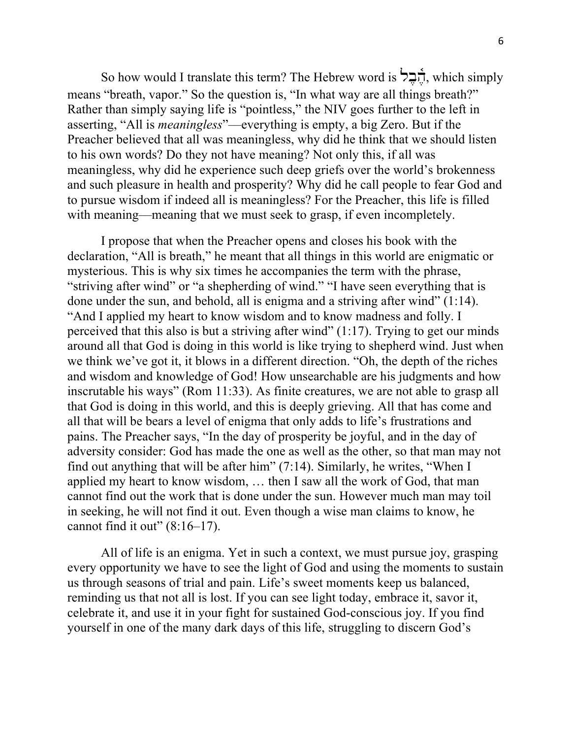So how would I translate this term? The Hebrew word is  $\sum_{n=1}^{\infty}$ , which simply means "breath, vapor." So the question is, "In what way are all things breath?" Rather than simply saying life is "pointless," the NIV goes further to the left in asserting, "All is *meaningless*"––everything is empty, a big Zero. But if the Preacher believed that all was meaningless, why did he think that we should listen to his own words? Do they not have meaning? Not only this, if all was meaningless, why did he experience such deep griefs over the world's brokenness and such pleasure in health and prosperity? Why did he call people to fear God and to pursue wisdom if indeed all is meaningless? For the Preacher, this life is filled with meaning—meaning that we must seek to grasp, if even incompletely.

I propose that when the Preacher opens and closes his book with the declaration, "All is breath," he meant that all things in this world are enigmatic or mysterious. This is why six times he accompanies the term with the phrase, "striving after wind" or "a shepherding of wind." "I have seen everything that is done under the sun, and behold, all is enigma and a striving after wind" (1:14). "And I applied my heart to know wisdom and to know madness and folly. I perceived that this also is but a striving after wind"  $(1:17)$ . Trying to get our minds around all that God is doing in this world is like trying to shepherd wind. Just when we think we've got it, it blows in a different direction. "Oh, the depth of the riches and wisdom and knowledge of God! How unsearchable are his judgments and how inscrutable his ways" (Rom 11:33). As finite creatures, we are not able to grasp all that God is doing in this world, and this is deeply grieving. All that has come and all that will be bears a level of enigma that only adds to life's frustrations and pains. The Preacher says, "In the day of prosperity be joyful, and in the day of adversity consider: God has made the one as well as the other, so that man may not find out anything that will be after him" (7:14). Similarly, he writes, "When I applied my heart to know wisdom, … then I saw all the work of God, that man cannot find out the work that is done under the sun. However much man may toil in seeking, he will not find it out. Even though a wise man claims to know, he cannot find it out"  $(8:16-17)$ .

All of life is an enigma. Yet in such a context, we must pursue joy, grasping every opportunity we have to see the light of God and using the moments to sustain us through seasons of trial and pain. Life's sweet moments keep us balanced, reminding us that not all is lost. If you can see light today, embrace it, savor it, celebrate it, and use it in your fight for sustained God-conscious joy. If you find yourself in one of the many dark days of this life, struggling to discern God's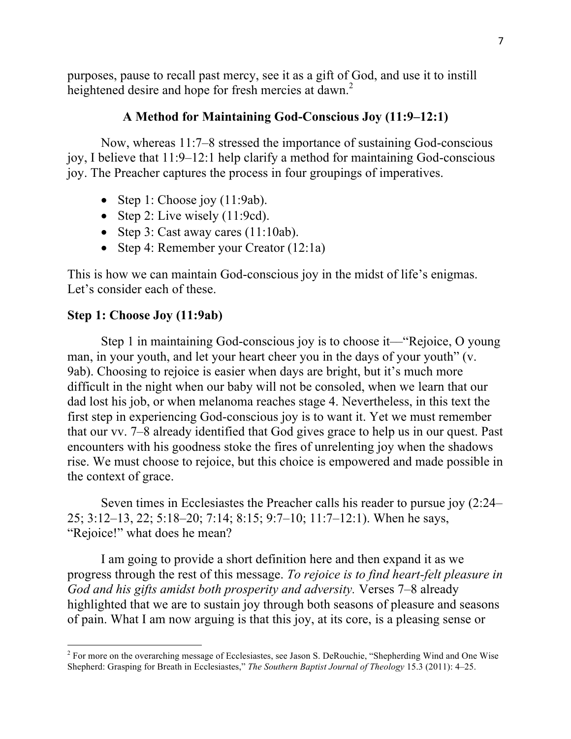purposes, pause to recall past mercy, see it as a gift of God, and use it to instill heightened desire and hope for fresh mercies at dawn.<sup>2</sup>

# **A Method for Maintaining God-Conscious Joy (11:9–12:1)**

Now, whereas 11:7–8 stressed the importance of sustaining God-conscious joy, I believe that 11:9–12:1 help clarify a method for maintaining God-conscious joy. The Preacher captures the process in four groupings of imperatives.

- Step 1: Choose joy  $(11:9ab)$ .
- Step 2: Live wisely  $(11:9cd)$ .
- Step 3: Cast away cares  $(11:10ab)$ .
- Step 4: Remember your Creator (12:1a)

This is how we can maintain God-conscious joy in the midst of life's enigmas. Let's consider each of these.

### **Step 1: Choose Joy (11:9ab)**

Step 1 in maintaining God-conscious joy is to choose it—"Rejoice, O young man, in your youth, and let your heart cheer you in the days of your youth" (v. 9ab). Choosing to rejoice is easier when days are bright, but it's much more difficult in the night when our baby will not be consoled, when we learn that our dad lost his job, or when melanoma reaches stage 4. Nevertheless, in this text the first step in experiencing God-conscious joy is to want it. Yet we must remember that our vv. 7–8 already identified that God gives grace to help us in our quest. Past encounters with his goodness stoke the fires of unrelenting joy when the shadows rise. We must choose to rejoice, but this choice is empowered and made possible in the context of grace.

Seven times in Ecclesiastes the Preacher calls his reader to pursue joy (2:24– 25; 3:12–13, 22; 5:18–20; 7:14; 8:15; 9:7–10; 11:7–12:1). When he says, "Rejoice!" what does he mean?

I am going to provide a short definition here and then expand it as we progress through the rest of this message. *To rejoice is to find heart-felt pleasure in God and his gifts amidst both prosperity and adversity.* Verses 7–8 already highlighted that we are to sustain joy through both seasons of pleasure and seasons of pain. What I am now arguing is that this joy, at its core, is a pleasing sense or

<sup>&</sup>lt;sup>2</sup> For more on the overarching message of Ecclesiastes, see Jason S. DeRouchie, "Shepherding Wind and One Wise Shepherd: Grasping for Breath in Ecclesiastes," *The Southern Baptist Journal of Theology* 15.3 (2011): 4–25.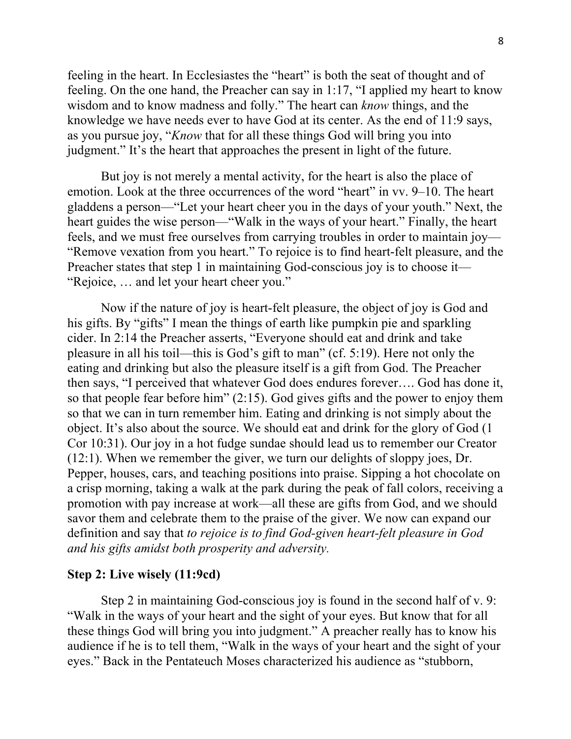feeling in the heart. In Ecclesiastes the "heart" is both the seat of thought and of feeling. On the one hand, the Preacher can say in 1:17, "I applied my heart to know wisdom and to know madness and folly." The heart can *know* things, and the knowledge we have needs ever to have God at its center. As the end of 11:9 says, as you pursue joy, "*Know* that for all these things God will bring you into judgment." It's the heart that approaches the present in light of the future.

But joy is not merely a mental activity, for the heart is also the place of emotion. Look at the three occurrences of the word "heart" in vv. 9–10. The heart gladdens a person––"Let your heart cheer you in the days of your youth." Next, the heart guides the wise person—"Walk in the ways of your heart." Finally, the heart feels, and we must free ourselves from carrying troubles in order to maintain joy–– "Remove vexation from you heart." To rejoice is to find heart-felt pleasure, and the Preacher states that step 1 in maintaining God-conscious joy is to choose it— "Rejoice, … and let your heart cheer you."

Now if the nature of joy is heart-felt pleasure, the object of joy is God and his gifts. By "gifts" I mean the things of earth like pumpkin pie and sparkling cider. In 2:14 the Preacher asserts, "Everyone should eat and drink and take pleasure in all his toil––this is God's gift to man" (cf. 5:19). Here not only the eating and drinking but also the pleasure itself is a gift from God. The Preacher then says, "I perceived that whatever God does endures forever…. God has done it, so that people fear before him" (2:15). God gives gifts and the power to enjoy them so that we can in turn remember him. Eating and drinking is not simply about the object. It's also about the source. We should eat and drink for the glory of God (1 Cor 10:31). Our joy in a hot fudge sundae should lead us to remember our Creator (12:1). When we remember the giver, we turn our delights of sloppy joes, Dr. Pepper, houses, cars, and teaching positions into praise. Sipping a hot chocolate on a crisp morning, taking a walk at the park during the peak of fall colors, receiving a promotion with pay increase at work––all these are gifts from God, and we should savor them and celebrate them to the praise of the giver. We now can expand our definition and say that *to rejoice is to find God-given heart-felt pleasure in God and his gifts amidst both prosperity and adversity.* 

#### **Step 2: Live wisely (11:9cd)**

Step 2 in maintaining God-conscious joy is found in the second half of v. 9: "Walk in the ways of your heart and the sight of your eyes. But know that for all these things God will bring you into judgment." A preacher really has to know his audience if he is to tell them, "Walk in the ways of your heart and the sight of your eyes." Back in the Pentateuch Moses characterized his audience as "stubborn,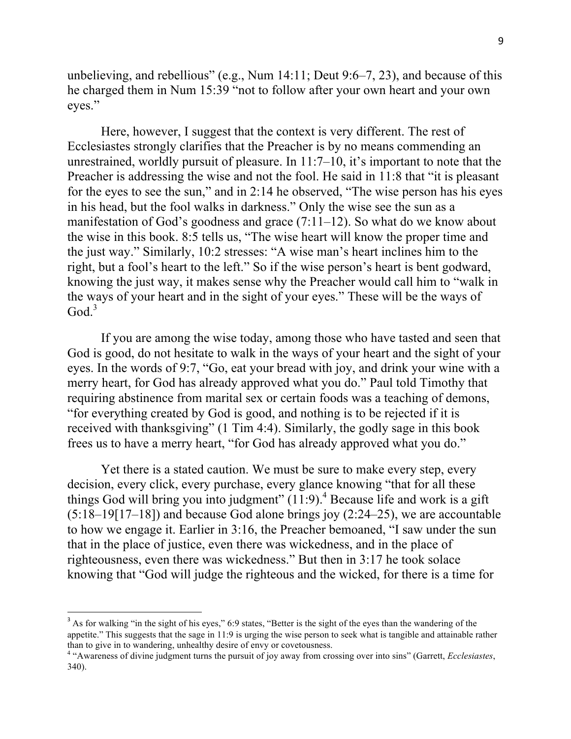unbelieving, and rebellious" (e.g., Num 14:11; Deut 9:6–7, 23), and because of this he charged them in Num 15:39 "not to follow after your own heart and your own eyes."

Here, however, I suggest that the context is very different. The rest of Ecclesiastes strongly clarifies that the Preacher is by no means commending an unrestrained, worldly pursuit of pleasure. In 11:7–10, it's important to note that the Preacher is addressing the wise and not the fool. He said in 11:8 that "it is pleasant for the eyes to see the sun," and in 2:14 he observed, "The wise person has his eyes in his head, but the fool walks in darkness." Only the wise see the sun as a manifestation of God's goodness and grace (7:11–12). So what do we know about the wise in this book. 8:5 tells us, "The wise heart will know the proper time and the just way." Similarly, 10:2 stresses: "A wise man's heart inclines him to the right, but a fool's heart to the left." So if the wise person's heart is bent godward, knowing the just way, it makes sense why the Preacher would call him to "walk in the ways of your heart and in the sight of your eyes." These will be the ways of  $Good.<sup>3</sup>$ 

If you are among the wise today, among those who have tasted and seen that God is good, do not hesitate to walk in the ways of your heart and the sight of your eyes. In the words of 9:7, "Go, eat your bread with joy, and drink your wine with a merry heart, for God has already approved what you do." Paul told Timothy that requiring abstinence from marital sex or certain foods was a teaching of demons, "for everything created by God is good, and nothing is to be rejected if it is received with thanksgiving" (1 Tim 4:4). Similarly, the godly sage in this book frees us to have a merry heart, "for God has already approved what you do."

Yet there is a stated caution. We must be sure to make every step, every decision, every click, every purchase, every glance knowing "that for all these things God will bring you into judgment"  $(11:9)$ .<sup>4</sup> Because life and work is a gift (5:18–19[17–18]) and because God alone brings joy (2:24–25), we are accountable to how we engage it. Earlier in 3:16, the Preacher bemoaned, "I saw under the sun that in the place of justice, even there was wickedness, and in the place of righteousness, even there was wickedness." But then in 3:17 he took solace knowing that "God will judge the righteous and the wicked, for there is a time for

<sup>&</sup>lt;sup>3</sup> As for walking "in the sight of his eyes," 6:9 states, "Better is the sight of the eyes than the wandering of the appetite." This suggests that the sage in 11:9 is urging the wise person to seek what is tangible and attainable rather than to give in to wandering, unhealthy desire of envy or covetousness. <sup>4</sup> "Awareness of divine judgment turns the pursuit of joy away from crossing over into sins" (Garrett, *Ecclesiastes*,

<sup>340).</sup>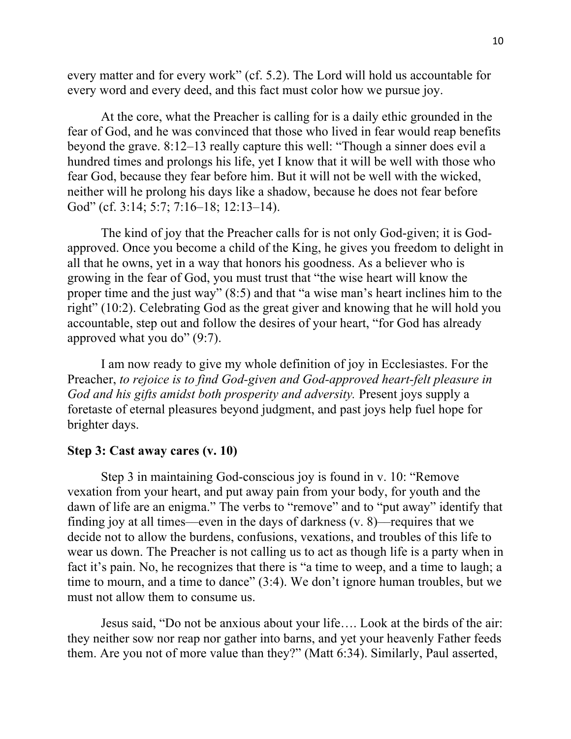every matter and for every work" (cf. 5.2). The Lord will hold us accountable for every word and every deed, and this fact must color how we pursue joy.

At the core, what the Preacher is calling for is a daily ethic grounded in the fear of God, and he was convinced that those who lived in fear would reap benefits beyond the grave. 8:12–13 really capture this well: "Though a sinner does evil a hundred times and prolongs his life, yet I know that it will be well with those who fear God, because they fear before him. But it will not be well with the wicked, neither will he prolong his days like a shadow, because he does not fear before God" (cf. 3:14; 5:7; 7:16–18; 12:13–14).

The kind of joy that the Preacher calls for is not only God-given; it is Godapproved. Once you become a child of the King, he gives you freedom to delight in all that he owns, yet in a way that honors his goodness. As a believer who is growing in the fear of God, you must trust that "the wise heart will know the proper time and the just way" (8:5) and that "a wise man's heart inclines him to the right" (10:2). Celebrating God as the great giver and knowing that he will hold you accountable, step out and follow the desires of your heart, "for God has already approved what you do" (9:7).

I am now ready to give my whole definition of joy in Ecclesiastes. For the Preacher, *to rejoice is to find God-given and God-approved heart-felt pleasure in God and his gifts amidst both prosperity and adversity.* Present joys supply a foretaste of eternal pleasures beyond judgment, and past joys help fuel hope for brighter days.

### **Step 3: Cast away cares (v. 10)**

Step 3 in maintaining God-conscious joy is found in v. 10: "Remove vexation from your heart, and put away pain from your body, for youth and the dawn of life are an enigma." The verbs to "remove" and to "put away" identify that finding joy at all times––even in the days of darkness (v. 8)––requires that we decide not to allow the burdens, confusions, vexations, and troubles of this life to wear us down. The Preacher is not calling us to act as though life is a party when in fact it's pain. No, he recognizes that there is "a time to weep, and a time to laugh; a time to mourn, and a time to dance" (3:4). We don't ignore human troubles, but we must not allow them to consume us.

Jesus said, "Do not be anxious about your life…. Look at the birds of the air: they neither sow nor reap nor gather into barns, and yet your heavenly Father feeds them. Are you not of more value than they?" (Matt 6:34). Similarly, Paul asserted,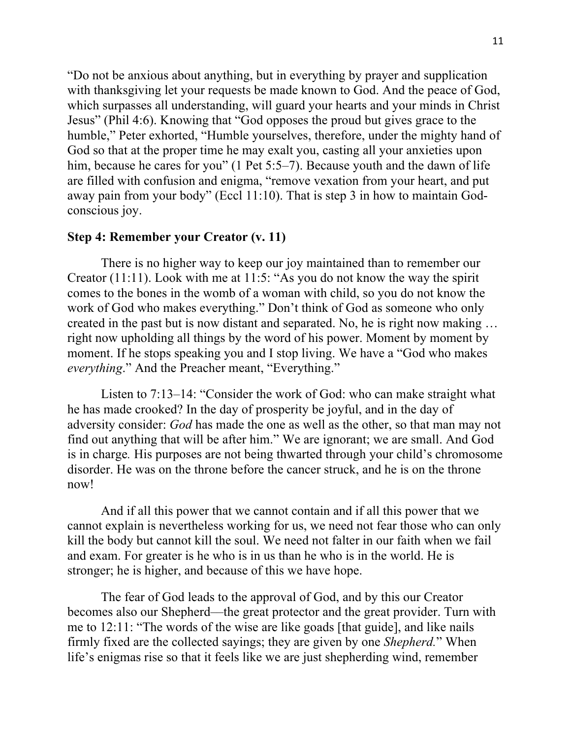"Do not be anxious about anything, but in everything by prayer and supplication with thanksgiving let your requests be made known to God. And the peace of God, which surpasses all understanding, will guard your hearts and your minds in Christ Jesus" (Phil 4:6). Knowing that "God opposes the proud but gives grace to the humble," Peter exhorted, "Humble yourselves, therefore, under the mighty hand of God so that at the proper time he may exalt you, casting all your anxieties upon him, because he cares for you" (1 Pet 5:5–7). Because youth and the dawn of life are filled with confusion and enigma, "remove vexation from your heart, and put away pain from your body" (Eccl 11:10). That is step 3 in how to maintain Godconscious joy.

## **Step 4: Remember your Creator (v. 11)**

There is no higher way to keep our joy maintained than to remember our Creator (11:11). Look with me at 11:5: "As you do not know the way the spirit comes to the bones in the womb of a woman with child, so you do not know the work of God who makes everything." Don't think of God as someone who only created in the past but is now distant and separated. No, he is right now making … right now upholding all things by the word of his power. Moment by moment by moment. If he stops speaking you and I stop living. We have a "God who makes *everything*." And the Preacher meant, "Everything."

Listen to 7:13–14: "Consider the work of God: who can make straight what he has made crooked? In the day of prosperity be joyful, and in the day of adversity consider: *God* has made the one as well as the other, so that man may not find out anything that will be after him." We are ignorant; we are small. And God is in charge*.* His purposes are not being thwarted through your child's chromosome disorder. He was on the throne before the cancer struck, and he is on the throne now!

And if all this power that we cannot contain and if all this power that we cannot explain is nevertheless working for us, we need not fear those who can only kill the body but cannot kill the soul. We need not falter in our faith when we fail and exam. For greater is he who is in us than he who is in the world. He is stronger; he is higher, and because of this we have hope.

The fear of God leads to the approval of God, and by this our Creator becomes also our Shepherd––the great protector and the great provider. Turn with me to 12:11: "The words of the wise are like goads [that guide], and like nails firmly fixed are the collected sayings; they are given by one *Shepherd.*" When life's enigmas rise so that it feels like we are just shepherding wind, remember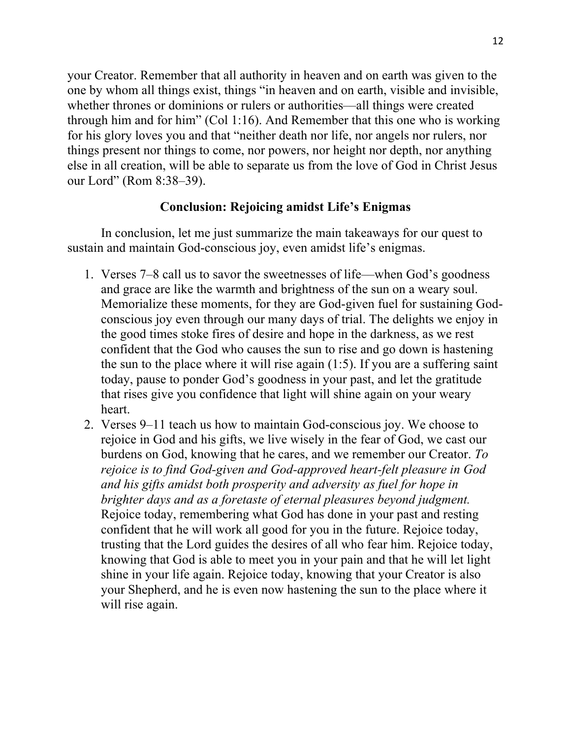your Creator. Remember that all authority in heaven and on earth was given to the one by whom all things exist, things "in heaven and on earth, visible and invisible, whether thrones or dominions or rulers or authorities—all things were created through him and for him" (Col 1:16). And Remember that this one who is working for his glory loves you and that "neither death nor life, nor angels nor rulers, nor things present nor things to come, nor powers, nor height nor depth, nor anything else in all creation, will be able to separate us from the love of God in Christ Jesus our Lord" (Rom 8:38–39).

## **Conclusion: Rejoicing amidst Life's Enigmas**

In conclusion, let me just summarize the main takeaways for our quest to sustain and maintain God-conscious joy, even amidst life's enigmas.

- 1. Verses 7–8 call us to savor the sweetnesses of life––when God's goodness and grace are like the warmth and brightness of the sun on a weary soul. Memorialize these moments, for they are God-given fuel for sustaining Godconscious joy even through our many days of trial. The delights we enjoy in the good times stoke fires of desire and hope in the darkness, as we rest confident that the God who causes the sun to rise and go down is hastening the sun to the place where it will rise again (1:5). If you are a suffering saint today, pause to ponder God's goodness in your past, and let the gratitude that rises give you confidence that light will shine again on your weary heart.
- 2. Verses 9–11 teach us how to maintain God-conscious joy. We choose to rejoice in God and his gifts, we live wisely in the fear of God, we cast our burdens on God, knowing that he cares, and we remember our Creator. *To rejoice is to find God-given and God-approved heart-felt pleasure in God and his gifts amidst both prosperity and adversity as fuel for hope in brighter days and as a foretaste of eternal pleasures beyond judgment.* Rejoice today, remembering what God has done in your past and resting confident that he will work all good for you in the future. Rejoice today, trusting that the Lord guides the desires of all who fear him. Rejoice today, knowing that God is able to meet you in your pain and that he will let light shine in your life again. Rejoice today, knowing that your Creator is also your Shepherd, and he is even now hastening the sun to the place where it will rise again.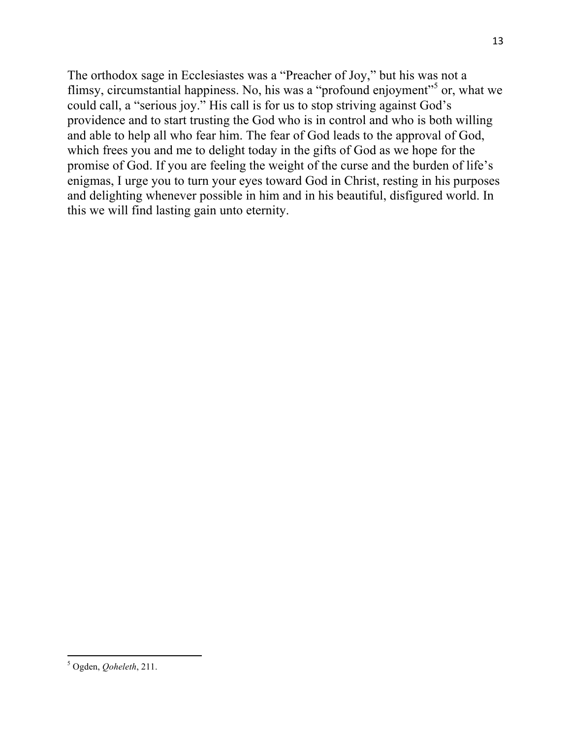The orthodox sage in Ecclesiastes was a "Preacher of Joy," but his was not a flimsy, circumstantial happiness. No, his was a "profound enjoyment"<sup>5</sup> or, what we could call, a "serious joy." His call is for us to stop striving against God's providence and to start trusting the God who is in control and who is both willing and able to help all who fear him. The fear of God leads to the approval of God, which frees you and me to delight today in the gifts of God as we hope for the promise of God. If you are feeling the weight of the curse and the burden of life's enigmas, I urge you to turn your eyes toward God in Christ, resting in his purposes and delighting whenever possible in him and in his beautiful, disfigured world. In this we will find lasting gain unto eternity.

 <sup>5</sup> Ogden, *Qoheleth*, 211.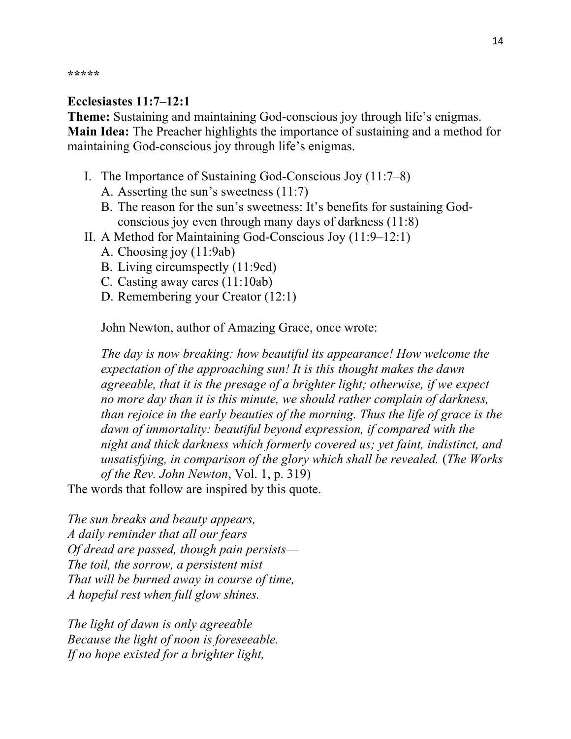**\*\*\*\*\***

# **Ecclesiastes 11:7–12:1**

**Theme:** Sustaining and maintaining God-conscious joy through life's enigmas. **Main Idea:** The Preacher highlights the importance of sustaining and a method for maintaining God-conscious joy through life's enigmas.

- I. The Importance of Sustaining God-Conscious Joy (11:7–8)
	- A. Asserting the sun's sweetness (11:7)
	- B. The reason for the sun's sweetness: It's benefits for sustaining Godconscious joy even through many days of darkness (11:8)
- II. A Method for Maintaining God-Conscious Joy (11:9–12:1)
	- A. Choosing joy (11:9ab)
	- B. Living circumspectly (11:9cd)
	- C. Casting away cares (11:10ab)
	- D. Remembering your Creator (12:1)

John Newton, author of Amazing Grace, once wrote:

*The day is now breaking: how beautiful its appearance! How welcome the expectation of the approaching sun! It is this thought makes the dawn agreeable, that it is the presage of a brighter light; otherwise, if we expect no more day than it is this minute, we should rather complain of darkness, than rejoice in the early beauties of the morning. Thus the life of grace is the dawn of immortality: beautiful beyond expression, if compared with the night and thick darkness which formerly covered us; yet faint, indistinct, and unsatisfying, in comparison of the glory which shall be revealed.* (*The Works of the Rev. John Newton*, Vol. 1, p. 319)

The words that follow are inspired by this quote.

*The sun breaks and beauty appears, A daily reminder that all our fears Of dread are passed, though pain persists–– The toil, the sorrow, a persistent mist That will be burned away in course of time, A hopeful rest when full glow shines.*

*The light of dawn is only agreeable Because the light of noon is foreseeable. If no hope existed for a brighter light,*